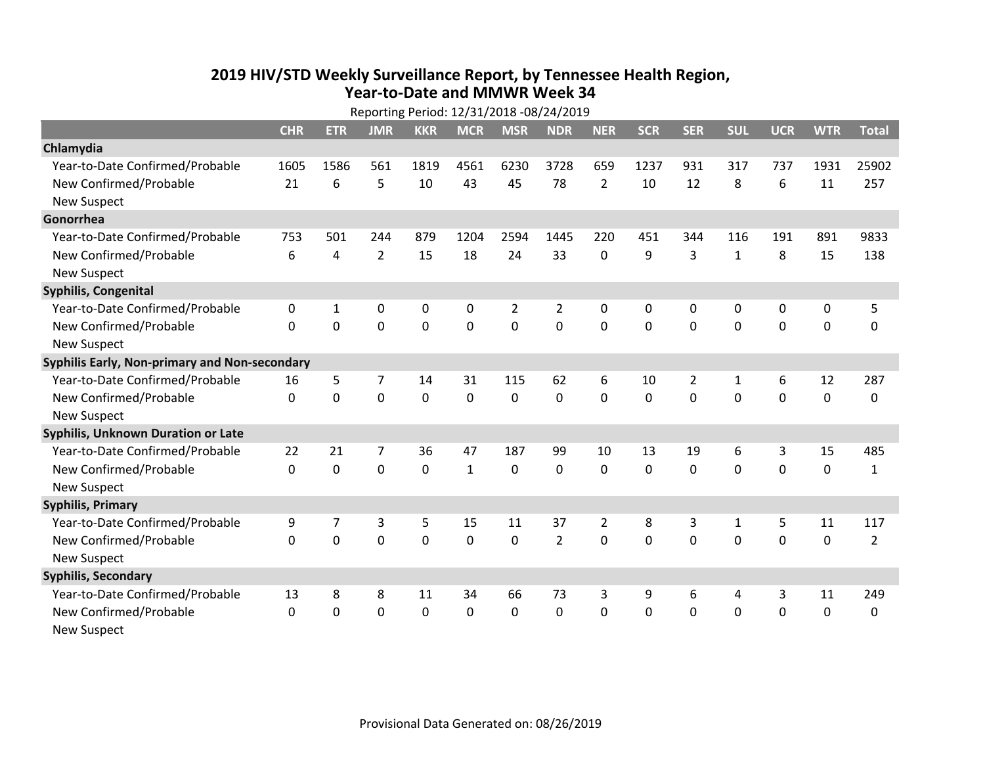## **2019 HIV /STD Weekly Surveillance Report, by Tennessee Health Region, Year‐to‐Date and MMWR Week 34** Reporting Period: 12/31/2018 ‐08/24/2019

| Reporting Period: 12/31/2018 -08/24/2019      |              |            |                |             |              |                |                |                |              |                |              |            |             |                |
|-----------------------------------------------|--------------|------------|----------------|-------------|--------------|----------------|----------------|----------------|--------------|----------------|--------------|------------|-------------|----------------|
|                                               | <b>CHR</b>   | <b>ETR</b> | <b>JMR</b>     | <b>KKR</b>  | <b>MCR</b>   | <b>MSR</b>     | <b>NDR</b>     | <b>NER</b>     | <b>SCR</b>   | <b>SER</b>     | <b>SUL</b>   | <b>UCR</b> | <b>WTR</b>  | <b>Total</b>   |
| Chlamydia                                     |              |            |                |             |              |                |                |                |              |                |              |            |             |                |
| Year-to-Date Confirmed/Probable               | 1605         | 1586       | 561            | 1819        | 4561         | 6230           | 3728           | 659            | 1237         | 931            | 317          | 737        | 1931        | 25902          |
| New Confirmed/Probable                        | 21           | 6          | 5              | 10          | 43           | 45             | 78             | $\overline{2}$ | 10           | 12             | 8            | 6          | 11          | 257            |
| <b>New Suspect</b>                            |              |            |                |             |              |                |                |                |              |                |              |            |             |                |
| Gonorrhea                                     |              |            |                |             |              |                |                |                |              |                |              |            |             |                |
| Year-to-Date Confirmed/Probable               | 753          | 501        | 244            | 879         | 1204         | 2594           | 1445           | 220            | 451          | 344            | 116          | 191        | 891         | 9833           |
| New Confirmed/Probable                        | 6            | 4          | $\overline{2}$ | 15          | 18           | 24             | 33             | 0              | 9            | 3              | $\mathbf{1}$ | 8          | 15          | 138            |
| <b>New Suspect</b>                            |              |            |                |             |              |                |                |                |              |                |              |            |             |                |
| <b>Syphilis, Congenital</b>                   |              |            |                |             |              |                |                |                |              |                |              |            |             |                |
| Year-to-Date Confirmed/Probable               | 0            | 1          | 0              | 0           | $\mathbf 0$  | $\overline{2}$ | $\overline{2}$ | 0              | 0            | 0              | 0            | 0          | 0           | 5              |
| New Confirmed/Probable                        | $\mathbf{0}$ | 0          | 0              | 0           | $\mathbf 0$  | $\overline{0}$ | 0              | $\mathbf 0$    | $\mathbf{0}$ | 0              | 0            | 0          | $\mathbf 0$ | 0              |
| <b>New Suspect</b>                            |              |            |                |             |              |                |                |                |              |                |              |            |             |                |
| Syphilis Early, Non-primary and Non-secondary |              |            |                |             |              |                |                |                |              |                |              |            |             |                |
| Year-to-Date Confirmed/Probable               | 16           | 5          | $\overline{7}$ | 14          | 31           | 115            | 62             | 6              | 10           | $\overline{2}$ | 1            | 6          | 12          | 287            |
| New Confirmed/Probable                        | $\Omega$     | 0          | 0              | 0           | $\mathbf 0$  | $\mathbf 0$    | $\Omega$       | $\Omega$       | $\Omega$     | $\Omega$       | $\Omega$     | $\Omega$   | $\mathbf 0$ | 0              |
| <b>New Suspect</b>                            |              |            |                |             |              |                |                |                |              |                |              |            |             |                |
| Syphilis, Unknown Duration or Late            |              |            |                |             |              |                |                |                |              |                |              |            |             |                |
| Year-to-Date Confirmed/Probable               | 22           | 21         | 7              | 36          | 47           | 187            | 99             | 10             | 13           | 19             | 6            | 3          | 15          | 485            |
| New Confirmed/Probable                        | $\Omega$     | $\Omega$   | 0              | $\mathbf 0$ | $\mathbf{1}$ | $\mathbf 0$    | $\Omega$       | $\Omega$       | $\Omega$     | $\Omega$       | $\Omega$     | 0          | $\mathbf 0$ | $\mathbf{1}$   |
| <b>New Suspect</b>                            |              |            |                |             |              |                |                |                |              |                |              |            |             |                |
| <b>Syphilis, Primary</b>                      |              |            |                |             |              |                |                |                |              |                |              |            |             |                |
| Year-to-Date Confirmed/Probable               | 9            | 7          | 3              | 5           | 15           | 11             | 37             | $\overline{2}$ | 8            | 3              | $\mathbf{1}$ | 5          | 11          | 117            |
| New Confirmed/Probable                        | $\Omega$     | 0          | 0              | 0           | $\mathbf 0$  | 0              | $\overline{2}$ | $\Omega$       | $\Omega$     | $\Omega$       | $\Omega$     | $\Omega$   | $\mathbf 0$ | $\overline{2}$ |
| <b>New Suspect</b>                            |              |            |                |             |              |                |                |                |              |                |              |            |             |                |
| <b>Syphilis, Secondary</b>                    |              |            |                |             |              |                |                |                |              |                |              |            |             |                |
| Year-to-Date Confirmed/Probable               | 13           | 8          | 8              | 11          | 34           | 66             | 73             | 3              | 9            | 6              | 4            | 3          | 11          | 249            |
| New Confirmed/Probable                        | 0            | 0          | 0              | 0           | $\mathbf 0$  | 0              | 0              | $\mathbf 0$    | $\Omega$     | 0              | 0            | 0          | $\mathbf 0$ | 0              |
| <b>New Suspect</b>                            |              |            |                |             |              |                |                |                |              |                |              |            |             |                |